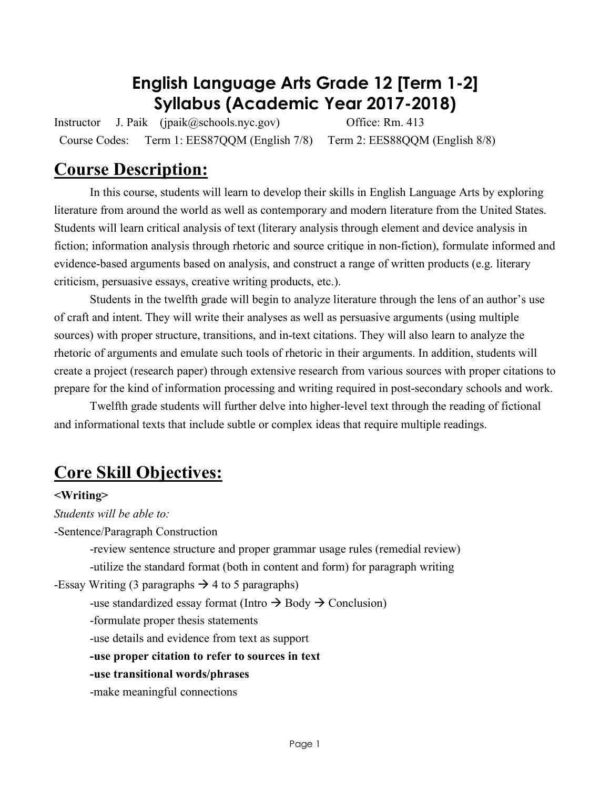## **English Language Arts Grade 12 [Term 1-2] Syllabus (Academic Year 2017-2018)**

Instructor J. Paik (jpaik@schools.nyc.gov) Office: Rm. 413 Course Codes: Term 1: EES87QQM (English 7/8) Term 2: EES88QQM (English 8/8)

## **Course Description:**

In this course, students will learn to develop their skills in English Language Arts by exploring literature from around the world as well as contemporary and modern literature from the United States. Students will learn critical analysis of text (literary analysis through element and device analysis in fiction; information analysis through rhetoric and source critique in non-fiction), formulate informed and evidence-based arguments based on analysis, and construct a range of written products (e.g. literary criticism, persuasive essays, creative writing products, etc.).

Students in the twelfth grade will begin to analyze literature through the lens of an author's use of craft and intent. They will write their analyses as well as persuasive arguments (using multiple sources) with proper structure, transitions, and in-text citations. They will also learn to analyze the rhetoric of arguments and emulate such tools of rhetoric in their arguments. In addition, students will create a project (research paper) through extensive research from various sources with proper citations to prepare for the kind of information processing and writing required in post-secondary schools and work.

Twelfth grade students will further delve into higher-level text through the reading of fictional and informational texts that include subtle or complex ideas that require multiple readings.

## **Core Skill Objectives:**

#### **<Writing>**

*Students will be able to:*

-Sentence/Paragraph Construction

-review sentence structure and proper grammar usage rules (remedial review) -utilize the standard format (both in content and form) for paragraph writing

-Essay Writing (3 paragraphs  $\rightarrow$  4 to 5 paragraphs)

-use standardized essay format (Intro  $\rightarrow$  Body  $\rightarrow$  Conclusion)

-formulate proper thesis statements

-use details and evidence from text as support

**-use proper citation to refer to sources in text**

**-use transitional words/phrases**

-make meaningful connections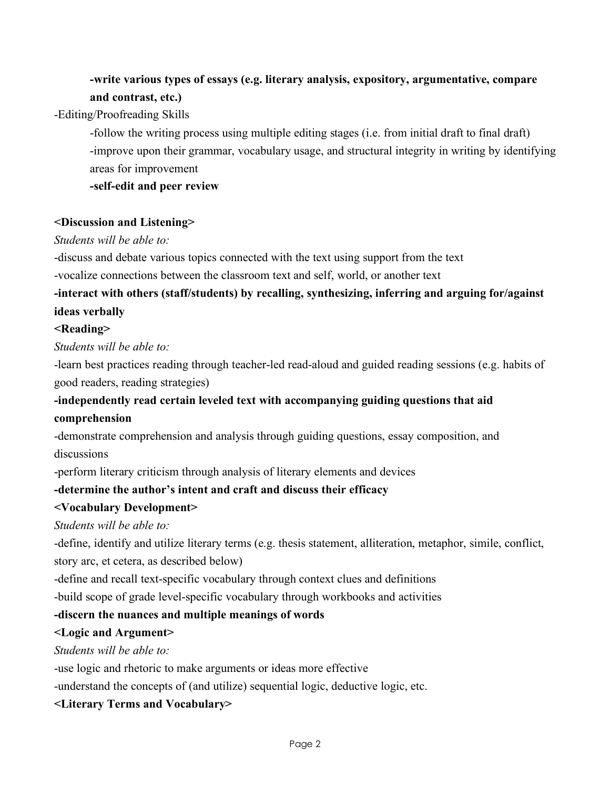## **-write various types of essays (e.g. literary analysis, expository, argumentative, compare and contrast, etc.)**

-Editing/Proofreading Skills

-follow the writing process using multiple editing stages (i.e. from initial draft to final draft) -improve upon their grammar, vocabulary usage, and structural integrity in writing by identifying areas for improvement

**-self-edit and peer review**

#### **<Discussion and Listening>**

#### *Students will be able to:*

-discuss and debate various topics connected with the text using support from the text

-vocalize connections between the classroom text and self, world, or another text

## **-interact with others (staff/students) by recalling, synthesizing, inferring and arguing for/against ideas verbally**

#### **<Reading>**

*Students will be able to:*

-learn best practices reading through teacher-led read-aloud and guided reading sessions (e.g. habits of good readers, reading strategies)

### **-independently read certain leveled text with accompanying guiding questions that aid comprehension**

-demonstrate comprehension and analysis through guiding questions, essay composition, and discussions

-perform literary criticism through analysis of literary elements and devices

#### **-determine the author's intent and craft and discuss their efficacy**

#### **<Vocabulary Development>**

*Students will be able to:*

-define, identify and utilize literary terms (e.g. thesis statement, alliteration, metaphor, simile, conflict, story arc, et cetera, as described below)

-define and recall text-specific vocabulary through context clues and definitions

-build scope of grade level-specific vocabulary through workbooks and activities

#### **-discern the nuances and multiple meanings of words**

#### **<Logic and Argument>**

*Students will be able to:*

-use logic and rhetoric to make arguments or ideas more effective

-understand the concepts of (and utilize) sequential logic, deductive logic, etc.

**<Literary Terms and Vocabulary>**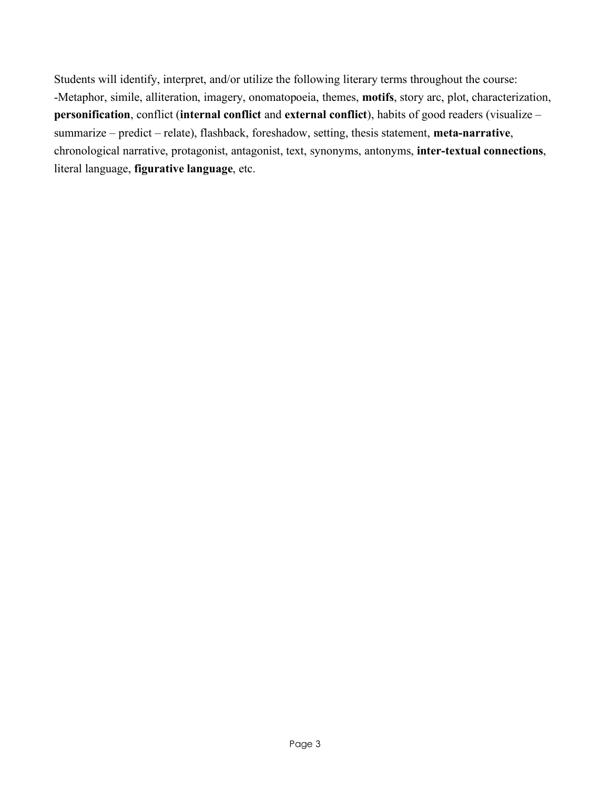Students will identify, interpret, and/or utilize the following literary terms throughout the course: -Metaphor, simile, alliteration, imagery, onomatopoeia, themes, **motifs**, story arc, plot, characterization, **personification**, conflict (**internal conflict** and **external conflict**), habits of good readers (visualize – summarize – predict – relate), flashback, foreshadow, setting, thesis statement, **meta-narrative**, chronological narrative, protagonist, antagonist, text, synonyms, antonyms, **inter-textual connections**, literal language, **figurative language**, etc.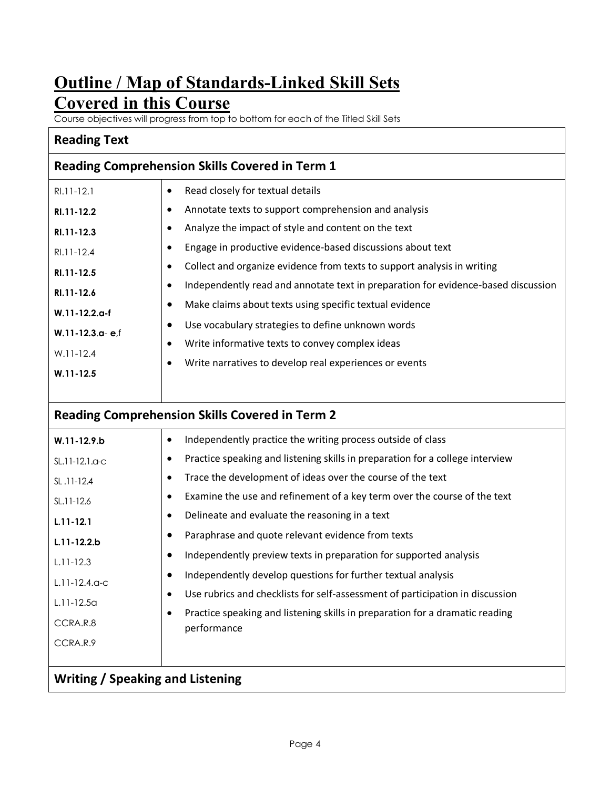## **Outline / Map of Standards-Linked Skill Sets Covered in this Course**

Course objectives will progress from top to bottom for each of the Titled Skill Sets

### **Reading Text**

| <b>Reading Comprehension Skills Covered in Term 1</b> |                                                                                                |  |  |  |  |
|-------------------------------------------------------|------------------------------------------------------------------------------------------------|--|--|--|--|
| $R1.11 - 12.1$                                        | Read closely for textual details<br>$\bullet$                                                  |  |  |  |  |
| RI.11-12.2                                            | Annotate texts to support comprehension and analysis<br>٠                                      |  |  |  |  |
| RI.11-12.3                                            | Analyze the impact of style and content on the text<br>٠                                       |  |  |  |  |
| $R1.11 - 12.4$                                        | Engage in productive evidence-based discussions about text<br>$\bullet$                        |  |  |  |  |
| RI.11-12.5                                            | Collect and organize evidence from texts to support analysis in writing<br>$\bullet$           |  |  |  |  |
| RI.11-12.6                                            | Independently read and annotate text in preparation for evidence-based discussion<br>$\bullet$ |  |  |  |  |
| $W.11 - 12.2$ .a-f                                    | Make claims about texts using specific textual evidence<br>٠                                   |  |  |  |  |
|                                                       | Use vocabulary strategies to define unknown words<br>٠                                         |  |  |  |  |
| $W.11 - 12.3$ .a-e.f                                  | Write informative texts to convey complex ideas<br>$\bullet$                                   |  |  |  |  |
| $W.11-12.4$                                           | Write narratives to develop real experiences or events<br>٠                                    |  |  |  |  |
| $W.11 - 12.5$                                         |                                                                                                |  |  |  |  |
|                                                       |                                                                                                |  |  |  |  |

## **Reading Comprehension Skills Covered in Term 2**

| $W.11 - 12.9 b$    | Independently practice the writing process outside of class<br>$\bullet$                                 |  |  |  |  |  |
|--------------------|----------------------------------------------------------------------------------------------------------|--|--|--|--|--|
| SL.11-12.1.a-c     | Practice speaking and listening skills in preparation for a college interview<br>$\bullet$               |  |  |  |  |  |
| SL.11-12.4         | Trace the development of ideas over the course of the text<br>$\bullet$                                  |  |  |  |  |  |
| SL.11-12.6         | Examine the use and refinement of a key term over the course of the text<br>$\bullet$                    |  |  |  |  |  |
| $L.11 - 12.1$      | Delineate and evaluate the reasoning in a text<br>$\bullet$                                              |  |  |  |  |  |
|                    | Paraphrase and quote relevant evidence from texts<br>٠                                                   |  |  |  |  |  |
| $L.11 - 12.2 b$    |                                                                                                          |  |  |  |  |  |
| $L.11 - 12.3$      | Independently preview texts in preparation for supported analysis<br>٠                                   |  |  |  |  |  |
| $L.11 - 12.4$ .a-c | Independently develop questions for further textual analysis<br>٠                                        |  |  |  |  |  |
|                    | Use rubrics and checklists for self-assessment of participation in discussion<br>$\bullet$               |  |  |  |  |  |
| $L.11-12.5a$       |                                                                                                          |  |  |  |  |  |
| CCRA.R.8           | Practice speaking and listening skills in preparation for a dramatic reading<br>$\bullet$<br>performance |  |  |  |  |  |
| CCRA.R.9           |                                                                                                          |  |  |  |  |  |
|                    |                                                                                                          |  |  |  |  |  |
|                    |                                                                                                          |  |  |  |  |  |

#### **Writing / Speaking and Listening**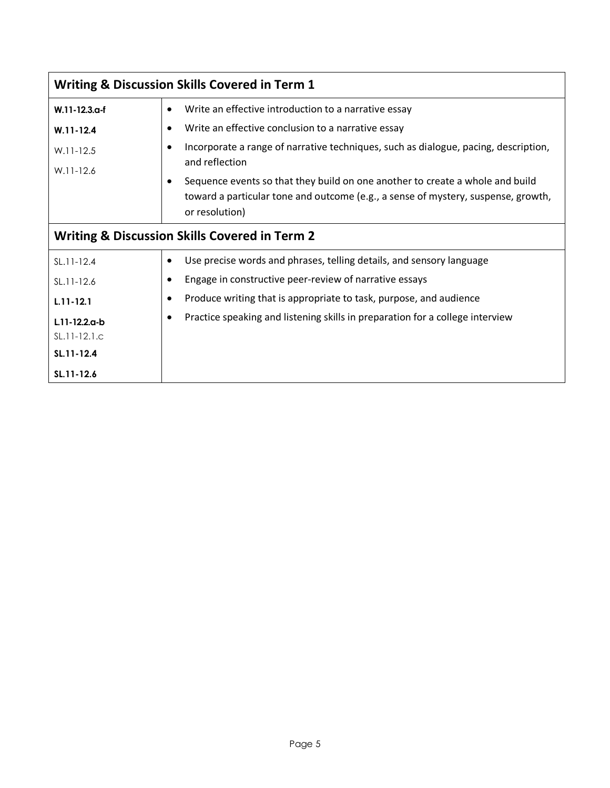| <b>Writing &amp; Discussion Skills Covered in Term 1</b> |                                                                                                                                                                                                   |  |  |  |  |
|----------------------------------------------------------|---------------------------------------------------------------------------------------------------------------------------------------------------------------------------------------------------|--|--|--|--|
| W.11-12.3.a-f                                            | Write an effective introduction to a narrative essay<br>$\bullet$                                                                                                                                 |  |  |  |  |
| $W.11 - 12.4$                                            | Write an effective conclusion to a narrative essay<br>$\bullet$                                                                                                                                   |  |  |  |  |
| $W.11-12.5$                                              | Incorporate a range of narrative techniques, such as dialogue, pacing, description,<br>٠<br>and reflection                                                                                        |  |  |  |  |
| $W.11-12.6$                                              | Sequence events so that they build on one another to create a whole and build<br>$\bullet$<br>toward a particular tone and outcome (e.g., a sense of mystery, suspense, growth,<br>or resolution) |  |  |  |  |
| <b>Writing &amp; Discussion Skills Covered in Term 2</b> |                                                                                                                                                                                                   |  |  |  |  |
| $SL.11-12.4$                                             | Use precise words and phrases, telling details, and sensory language<br>٠                                                                                                                         |  |  |  |  |
| SL.11-12.6                                               | Engage in constructive peer-review of narrative essays                                                                                                                                            |  |  |  |  |
| $L.11 - 12.1$                                            | Produce writing that is appropriate to task, purpose, and audience<br>$\bullet$                                                                                                                   |  |  |  |  |
| L.11-12.2.a-b                                            | Practice speaking and listening skills in preparation for a college interview<br>$\bullet$                                                                                                        |  |  |  |  |
| $SL.11-12.1.c$                                           |                                                                                                                                                                                                   |  |  |  |  |
| SL.11-12.4                                               |                                                                                                                                                                                                   |  |  |  |  |
| SL.11-12.6                                               |                                                                                                                                                                                                   |  |  |  |  |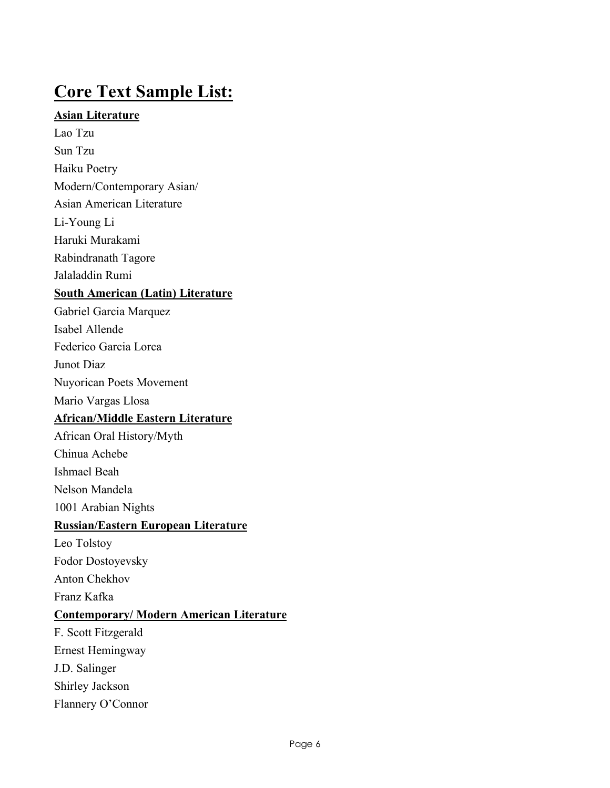## **Core Text Sample List:**

#### **Asian Literature**

Lao Tzu

Sun Tzu Haiku Poetry

Modern/Contemporary Asian/

Asian American Literature

Li-Young Li

Haruki Murakami

Rabindranath Tagore

Jalaladdin Rumi

#### **South American (Latin) Literature**

- Gabriel Garcia Marquez
- Isabel Allende

Federico Garcia Lorca

Junot Diaz

Nuyorican Poets Movement

Mario Vargas Llosa

### **African/Middle Eastern Literature**

African Oral History/Myth

Chinua Achebe

Ishmael Beah

Nelson Mandela

1001 Arabian Nights

### **Russian/Eastern European Literature**

Leo Tolstoy Fodor Dostoyevsky

Anton Chekhov

Franz Kafka

### **Contemporary/ Modern American Literature**

F. Scott Fitzgerald Ernest Hemingway J.D. Salinger Shirley Jackson Flannery O'Connor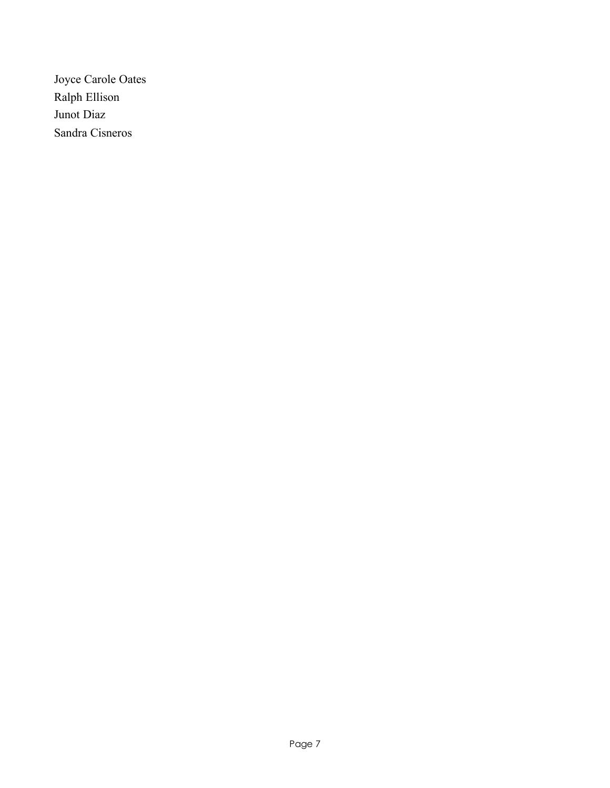Joyce Carole Oates Ralph Ellison Junot Diaz Sandra Cisneros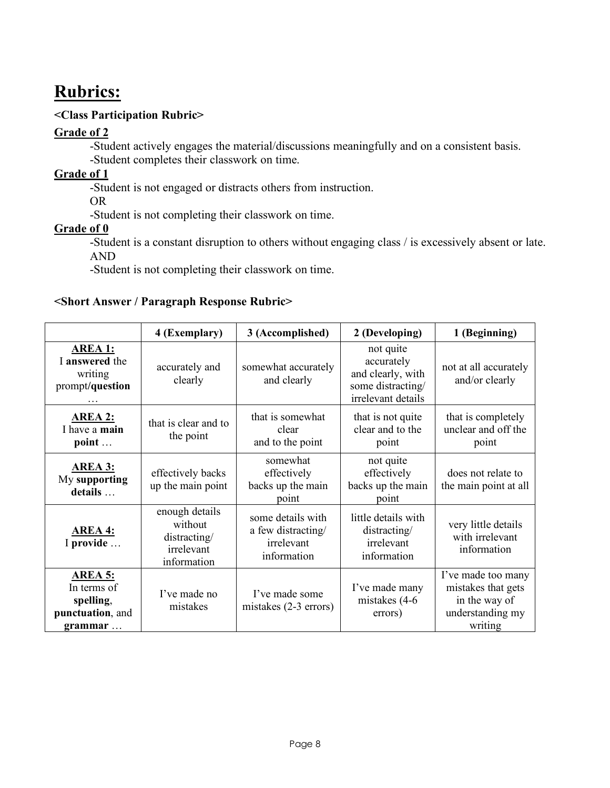## **Rubrics:**

#### **<Class Participation Rubric>**

### **Grade of 2**

-Student actively engages the material/discussions meaningfully and on a consistent basis. -Student completes their classwork on time.

#### **Grade of 1**

-Student is not engaged or distracts others from instruction.

OR

-Student is not completing their classwork on time.

#### **Grade of 0**

-Student is a constant disruption to others without engaging class / is excessively absent or late. AND

-Student is not completing their classwork on time.

#### **<Short Answer / Paragraph Response Rubric>**

|                                                                           | 4 (Exemplary)                                                          | 3 (Accomplished)                                                     | 2 (Developing)                                                                          | 1 (Beginning)                                                                            |
|---------------------------------------------------------------------------|------------------------------------------------------------------------|----------------------------------------------------------------------|-----------------------------------------------------------------------------------------|------------------------------------------------------------------------------------------|
| <b>AREA 1:</b><br>I answered the<br>writing<br>prompt/question            | accurately and<br>clearly                                              | somewhat accurately<br>and clearly                                   | not quite<br>accurately<br>and clearly, with<br>some distracting/<br>irrelevant details | not at all accurately<br>and/or clearly                                                  |
| <b>AREA 2:</b><br>I have a main<br>point                                  | that is clear and to<br>the point                                      | that is somewhat<br>clear<br>and to the point                        | that is not quite<br>clear and to the<br>point                                          | that is completely<br>unclear and off the<br>point                                       |
| <b>AREA 3:</b><br>My supporting<br>details                                | effectively backs<br>up the main point                                 | somewhat<br>effectively<br>backs up the main<br>point                | not quite<br>effectively<br>backs up the main<br>point                                  | does not relate to<br>the main point at all                                              |
| <b>AREA 4:</b><br>I provide                                               | enough details<br>without<br>distracting/<br>irrelevant<br>information | some details with<br>a few distracting/<br>irrelevant<br>information | little details with<br>distracting/<br>irrelevant<br>information                        | very little details<br>with irrelevant<br>information                                    |
| <b>AREA 5:</b><br>In terms of<br>spelling,<br>punctuation, and<br>grammar | I've made no<br>mistakes                                               | I've made some<br>mistakes $(2-3$ errors)                            | I've made many<br>mistakes (4-6)<br>errors)                                             | I've made too many<br>mistakes that gets<br>in the way of<br>understanding my<br>writing |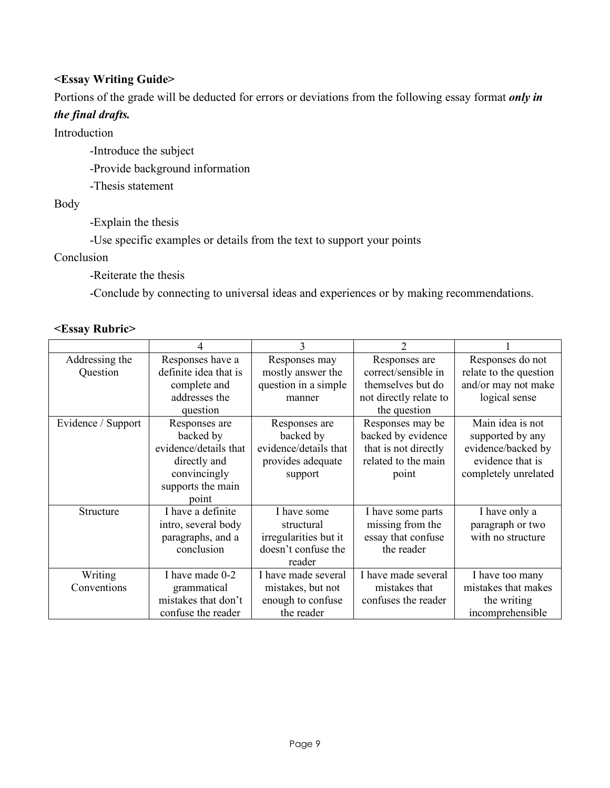#### **<Essay Writing Guide>**

Portions of the grade will be deducted for errors or deviations from the following essay format *only in* 

#### *the final drafts.*

Introduction

-Introduce the subject

-Provide background information

-Thesis statement

Body

-Explain the thesis

-Use specific examples or details from the text to support your points

Conclusion

-Reiterate the thesis

-Conclude by connecting to universal ideas and experiences or by making recommendations.

#### **<Essay Rubric>**

| Addressing the     | Responses have a      | Responses may         | Responses are          | Responses do not       |
|--------------------|-----------------------|-----------------------|------------------------|------------------------|
| Question           | definite idea that is | mostly answer the     | correct/sensible in    | relate to the question |
|                    | complete and          | question in a simple  | themselves but do      | and/or may not make    |
|                    | addresses the         | manner                | not directly relate to | logical sense          |
|                    | question              |                       | the question           |                        |
| Evidence / Support | Responses are         | Responses are         | Responses may be       | Main idea is not       |
|                    | backed by             | backed by             | backed by evidence     | supported by any       |
|                    | evidence/details that | evidence/details that | that is not directly   | evidence/backed by     |
|                    | directly and          | provides adequate     | related to the main    | evidence that is       |
|                    | convincingly          | support               | point                  | completely unrelated   |
|                    | supports the main     |                       |                        |                        |
|                    | point                 |                       |                        |                        |
| Structure          | I have a definite     | I have some           | I have some parts      | I have only a          |
|                    | intro, several body   | structural            | missing from the       | paragraph or two       |
|                    | paragraphs, and a     | irregularities but it | essay that confuse     | with no structure      |
|                    | conclusion            | doesn't confuse the   | the reader             |                        |
|                    |                       | reader                |                        |                        |
| Writing            | I have made 0-2       | I have made several   | I have made several    | I have too many        |
| Conventions        | grammatical           | mistakes, but not     | mistakes that          | mistakes that makes    |
|                    | mistakes that don't   | enough to confuse     | confuses the reader    | the writing            |
|                    | confuse the reader    | the reader            |                        | incomprehensible       |